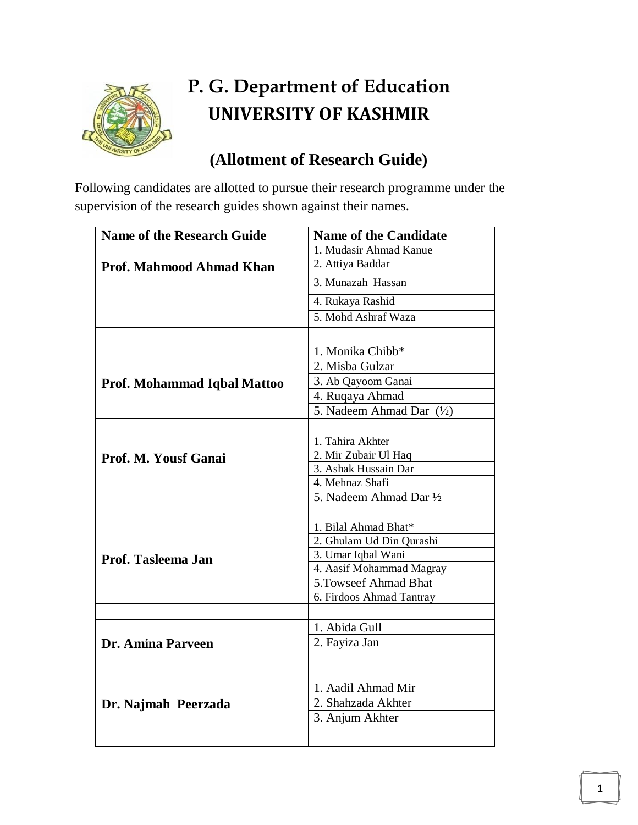

## **P. G. Department of Education UNIVERSITY OF KASHMIR**

## **(Allotment of Research Guide)**

Following candidates are allotted to pursue their research programme under the supervision of the research guides shown against their names.

| <b>Name of the Research Guide</b> | <b>Name of the Candidate</b>        |
|-----------------------------------|-------------------------------------|
| <b>Prof. Mahmood Ahmad Khan</b>   | 1. Mudasir Ahmad Kanue              |
|                                   | 2. Attiya Baddar                    |
|                                   | 3. Munazah Hassan                   |
|                                   | 4. Rukaya Rashid                    |
|                                   | 5. Mohd Ashraf Waza                 |
|                                   |                                     |
| Prof. Mohammad Iqbal Mattoo       | 1. Monika Chibb*                    |
|                                   | 2. Misba Gulzar                     |
|                                   | 3. Ab Qayoom Ganai                  |
|                                   | 4. Ruqaya Ahmad                     |
|                                   | 5. Nadeem Ahmad Dar $(\frac{1}{2})$ |
|                                   |                                     |
| Prof. M. Yousf Ganai              | 1. Tahira Akhter                    |
|                                   | 2. Mir Zubair Ul Haq                |
|                                   | 3. Ashak Hussain Dar                |
|                                   | 4. Mehnaz Shafi                     |
|                                   | 5. Nadeem Ahmad Dar 1/2             |
|                                   |                                     |
| Prof. Tasleema Jan                | 1. Bilal Ahmad Bhat*                |
|                                   | 2. Ghulam Ud Din Qurashi            |
|                                   | 3. Umar Iqbal Wani                  |
|                                   | 4. Aasif Mohammad Magray            |
|                                   | 5. Towseef Ahmad Bhat               |
|                                   | 6. Firdoos Ahmad Tantray            |
|                                   |                                     |
| Dr. Amina Parveen                 | 1. Abida Gull                       |
|                                   | 2. Fayiza Jan                       |
|                                   |                                     |
|                                   |                                     |
| Dr. Najmah Peerzada               | 1. Aadil Ahmad Mir                  |
|                                   | 2. Shahzada Akhter                  |
|                                   | 3. Anjum Akhter                     |
|                                   |                                     |